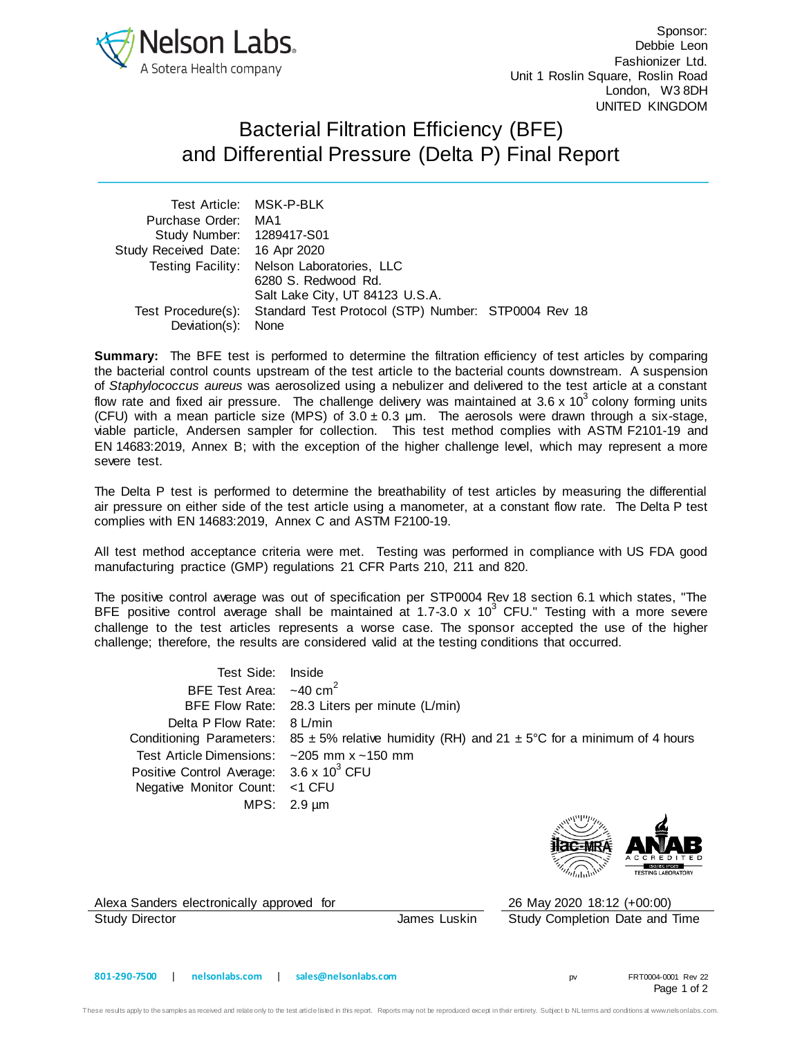

Sponsor: Debbie Leon Fashionizer Ltd. Unit 1 Roslin Square, Roslin Road London, W3 8DH UNITED KINGDOM

## Bacterial Filtration Efficiency (BFE) and Differential Pressure (Delta P) Final Report

|                                  | Test Article: MSK-P-BLK                                                |  |
|----------------------------------|------------------------------------------------------------------------|--|
| Purchase Order: MA1              |                                                                        |  |
| Study Number: 1289417-S01        |                                                                        |  |
| Study Received Date: 16 Apr 2020 |                                                                        |  |
|                                  | Testing Facility: Nelson Laboratories, LLC<br>6280 S. Redwood Rd.      |  |
|                                  | Salt Lake City, UT 84123 U.S.A.                                        |  |
|                                  | Test Procedure(s): Standard Test Protocol (STP) Number: STP0004 Rev 18 |  |
| Deviation(s): None               |                                                                        |  |

**Summary:** The BFE test is performed to determine the filtration efficiency of test articles by comparing the bacterial control counts upstream of the test article to the bacterial counts downstream. A suspension of *Staphylococcus aureus* was aerosolized using a nebulizer and delivered to the test article at a constant flow rate and fixed air pressure. The challenge delivery was maintained at 3.6 x 10<sup>3</sup> colony forming units (CFU) with a mean particle size (MPS) of  $3.0 \pm 0.3$  µm. The aerosols were drawn through a six-stage, viable particle, Andersen sampler for collection. This test method complies with ASTM F2101-19 and EN 14683:2019, Annex B; with the exception of the higher challenge level, which may represent a more severe test.

The Delta P test is performed to determine the breathability of test articles by measuring the differential air pressure on either side of the test article using a manometer, at a constant flow rate. The Delta P test complies with EN 14683:2019, Annex C and ASTM F2100-19.

All test method acceptance criteria were met. Testing was performed in compliance with US FDA good manufacturing practice (GMP) regulations 21 CFR Parts 210, 211 and 820.

The positive control average was out of specification per STP0004 Rev 18 section 6.1 which states, "The BFE positive control average shall be maintained at 1.7-3.0 x 10<sup>3</sup> CFU." Testing with a more severe challenge to the test articles represents a worse case. The sponsor accepted the use of the higher challenge; therefore, the results are considered valid at the testing conditions that occurred.

Test Side: Inside BFE Test Area:  $\sim$ 40 cm<sup>2</sup> BFE Flow Rate: 28.3 Liters per minute (L/min) Delta P Flow Rate: 8 L/min Conditioning Parameters:  $85 \pm 5\%$  relative humidity (RH) and  $21 \pm 5\degree$ C for a minimum of 4 hours Test Article Dimensions: ~205 mm x ~150 mm Positive Control Average:  $3.6 \times 10^3$  CFU Negative Monitor Count: <1 CFU MPS: 2.9 µm



Alexa Sanders electronically approved for 26 May 2020 18:12 (+00:00)

Study Director **Study Director James Luskin** Study Completion Date and Time